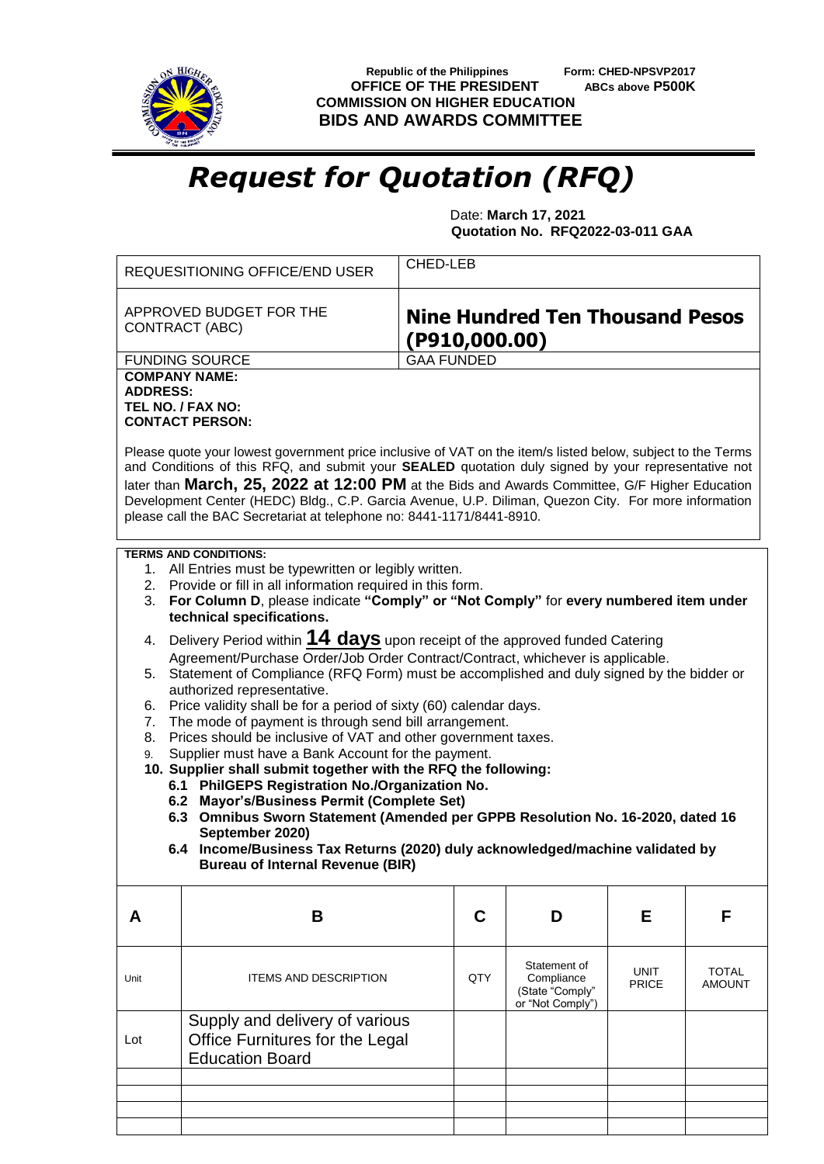

**Republic of the Philippines** Form: CHED-NPSVP2017<br>**FFICE OF THE PRESIDENT** ABCs above P500K **OFFICE OF THE PRESIDENT COMMISSION ON HIGHER EDUCATION BIDS AND AWARDS COMMITTEE**

## *Request for Quotation (RFQ)*

 Date: **March 17, 2021 Quotation No. RFQ2022-03-011 GAA**

|                                                                                                                                                                                                                                                                                                                                                                                                                                                                                                      | CHED-LEB<br><b>REQUESITIONING OFFICE/END USER</b>                                                                                                                                                                                        |     |                                                                   |                      |                               |  |  |
|------------------------------------------------------------------------------------------------------------------------------------------------------------------------------------------------------------------------------------------------------------------------------------------------------------------------------------------------------------------------------------------------------------------------------------------------------------------------------------------------------|------------------------------------------------------------------------------------------------------------------------------------------------------------------------------------------------------------------------------------------|-----|-------------------------------------------------------------------|----------------------|-------------------------------|--|--|
|                                                                                                                                                                                                                                                                                                                                                                                                                                                                                                      | APPROVED BUDGET FOR THE<br><b>Nine Hundred Ten Thousand Pesos</b><br><b>CONTRACT (ABC)</b><br>( P910, 000.00)                                                                                                                            |     |                                                                   |                      |                               |  |  |
| <b>FUNDING SOURCE</b><br><b>GAA FUNDED</b>                                                                                                                                                                                                                                                                                                                                                                                                                                                           |                                                                                                                                                                                                                                          |     |                                                                   |                      |                               |  |  |
| <b>COMPANY NAME:</b><br><b>ADDRESS:</b><br>TEL NO. / FAX NO:<br><b>CONTACT PERSON:</b>                                                                                                                                                                                                                                                                                                                                                                                                               |                                                                                                                                                                                                                                          |     |                                                                   |                      |                               |  |  |
| Please quote your lowest government price inclusive of VAT on the item/s listed below, subject to the Terms<br>and Conditions of this RFQ, and submit your SEALED quotation duly signed by your representative not<br>later than March, 25, 2022 at 12:00 PM at the Bids and Awards Committee, G/F Higher Education<br>Development Center (HEDC) Bldg., C.P. Garcia Avenue, U.P. Diliman, Quezon City. For more information<br>please call the BAC Secretariat at telephone no: 8441-1171/8441-8910. |                                                                                                                                                                                                                                          |     |                                                                   |                      |                               |  |  |
|                                                                                                                                                                                                                                                                                                                                                                                                                                                                                                      | <b>TERMS AND CONDITIONS:</b>                                                                                                                                                                                                             |     |                                                                   |                      |                               |  |  |
| 2.<br>3.                                                                                                                                                                                                                                                                                                                                                                                                                                                                                             | 1. All Entries must be typewritten or legibly written.<br>Provide or fill in all information required in this form.<br>For Column D, please indicate "Comply" or "Not Comply" for every numbered item under<br>technical specifications. |     |                                                                   |                      |                               |  |  |
| Delivery Period within 14 days upon receipt of the approved funded Catering<br>4.<br>Agreement/Purchase Order/Job Order Contract/Contract, whichever is applicable.<br>Statement of Compliance (RFQ Form) must be accomplished and duly signed by the bidder or<br>5.                                                                                                                                                                                                                                |                                                                                                                                                                                                                                          |     |                                                                   |                      |                               |  |  |
| 6.<br>7.                                                                                                                                                                                                                                                                                                                                                                                                                                                                                             | authorized representative.<br>Price validity shall be for a period of sixty (60) calendar days.<br>The mode of payment is through send bill arrangement.                                                                                 |     |                                                                   |                      |                               |  |  |
| 8.<br>9.                                                                                                                                                                                                                                                                                                                                                                                                                                                                                             | Prices should be inclusive of VAT and other government taxes.<br>Supplier must have a Bank Account for the payment.<br>10. Supplier shall submit together with the RFQ the following:                                                    |     |                                                                   |                      |                               |  |  |
|                                                                                                                                                                                                                                                                                                                                                                                                                                                                                                      | 6.1 PhilGEPS Registration No./Organization No.                                                                                                                                                                                           |     |                                                                   |                      |                               |  |  |
|                                                                                                                                                                                                                                                                                                                                                                                                                                                                                                      | 6.2 Mayor's/Business Permit (Complete Set)<br>6.3 Omnibus Sworn Statement (Amended per GPPB Resolution No. 16-2020, dated 16                                                                                                             |     |                                                                   |                      |                               |  |  |
|                                                                                                                                                                                                                                                                                                                                                                                                                                                                                                      | September 2020)                                                                                                                                                                                                                          |     |                                                                   |                      |                               |  |  |
|                                                                                                                                                                                                                                                                                                                                                                                                                                                                                                      | 6.4 Income/Business Tax Returns (2020) duly acknowledged/machine validated by<br><b>Bureau of Internal Revenue (BIR)</b>                                                                                                                 |     |                                                                   |                      |                               |  |  |
| A                                                                                                                                                                                                                                                                                                                                                                                                                                                                                                    | B                                                                                                                                                                                                                                        | C   | D                                                                 | Е                    | F                             |  |  |
| Unit                                                                                                                                                                                                                                                                                                                                                                                                                                                                                                 | <b>ITEMS AND DESCRIPTION</b>                                                                                                                                                                                                             | QTY | Statement of<br>Compliance<br>(State "Comply"<br>or "Not Comply") | UNIT<br><b>PRICE</b> | <b>TOTAL</b><br><b>AMOUNT</b> |  |  |
| Lot                                                                                                                                                                                                                                                                                                                                                                                                                                                                                                  | Supply and delivery of various<br>Office Furnitures for the Legal<br><b>Education Board</b>                                                                                                                                              |     |                                                                   |                      |                               |  |  |
|                                                                                                                                                                                                                                                                                                                                                                                                                                                                                                      |                                                                                                                                                                                                                                          |     |                                                                   |                      |                               |  |  |
|                                                                                                                                                                                                                                                                                                                                                                                                                                                                                                      |                                                                                                                                                                                                                                          |     |                                                                   |                      |                               |  |  |
|                                                                                                                                                                                                                                                                                                                                                                                                                                                                                                      |                                                                                                                                                                                                                                          |     |                                                                   |                      |                               |  |  |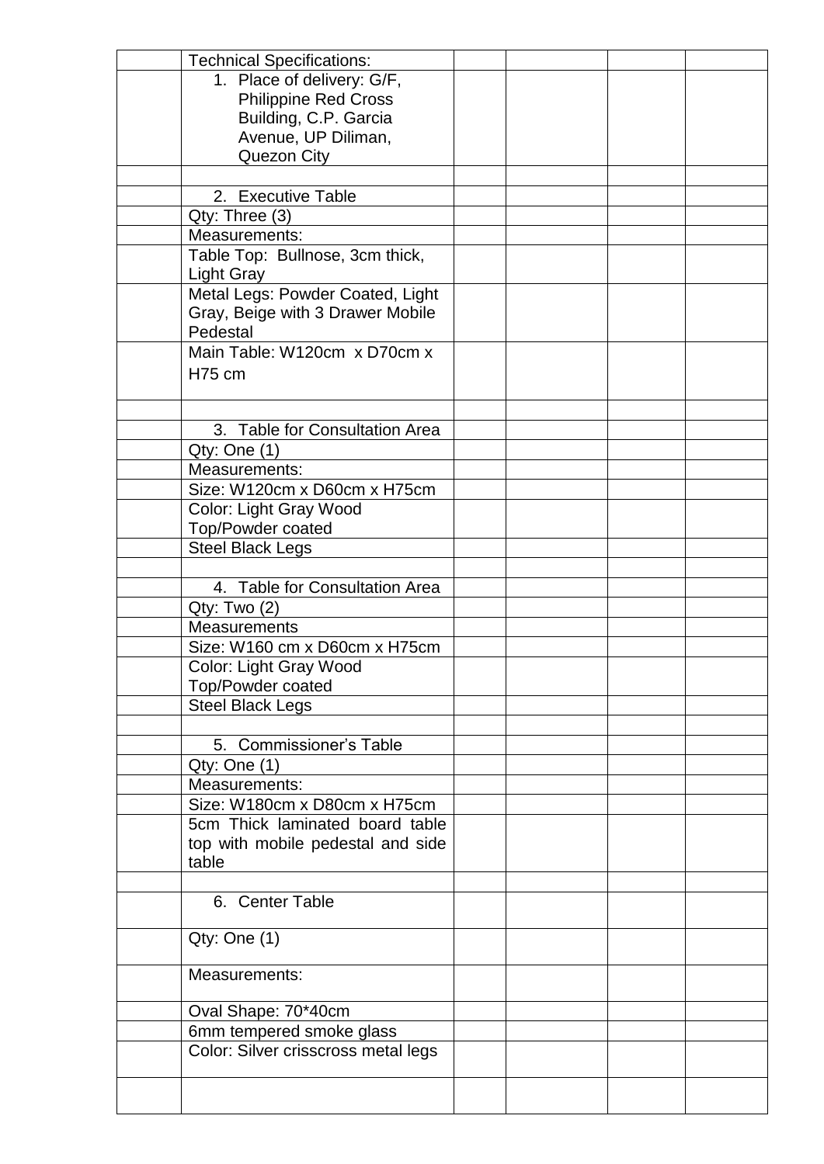| <b>Technical Specifications:</b>         |  |  |
|------------------------------------------|--|--|
| 1. Place of delivery: G/F,               |  |  |
| <b>Philippine Red Cross</b>              |  |  |
| Building, C.P. Garcia                    |  |  |
| Avenue, UP Diliman,                      |  |  |
| Quezon City                              |  |  |
|                                          |  |  |
| 2. Executive Table                       |  |  |
| Qty: Three (3)                           |  |  |
| Measurements:                            |  |  |
| Table Top: Bullnose, 3cm thick,          |  |  |
| <b>Light Gray</b>                        |  |  |
| Metal Legs: Powder Coated, Light         |  |  |
| Gray, Beige with 3 Drawer Mobile         |  |  |
| Pedestal                                 |  |  |
| Main Table: W120cm x D70cm x             |  |  |
|                                          |  |  |
| <b>H75 cm</b>                            |  |  |
|                                          |  |  |
|                                          |  |  |
| <b>Table for Consultation Area</b><br>3. |  |  |
| Qty: One (1)                             |  |  |
| Measurements:                            |  |  |
| Size: W120cm x D60cm x H75cm             |  |  |
| Color: Light Gray Wood                   |  |  |
| Top/Powder coated                        |  |  |
| <b>Steel Black Legs</b>                  |  |  |
|                                          |  |  |
| 4. Table for Consultation Area           |  |  |
| Qty: Two (2)                             |  |  |
| <b>Measurements</b>                      |  |  |
| Size: W160 cm x D60cm x H75cm            |  |  |
| Color: Light Gray Wood                   |  |  |
| Top/Powder coated                        |  |  |
| <b>Steel Black Legs</b>                  |  |  |
|                                          |  |  |
| 5. Commissioner's Table                  |  |  |
| Qty: One (1)                             |  |  |
| Measurements:                            |  |  |
| Size: W180cm x D80cm x H75cm             |  |  |
| 5cm Thick laminated board table          |  |  |
|                                          |  |  |
| top with mobile pedestal and side        |  |  |
| table                                    |  |  |
|                                          |  |  |
| 6. Center Table                          |  |  |
|                                          |  |  |
| Qty: One(1)                              |  |  |
|                                          |  |  |
| Measurements:                            |  |  |
|                                          |  |  |
| Oval Shape: 70*40cm                      |  |  |
| 6mm tempered smoke glass                 |  |  |
| Color: Silver crisscross metal legs      |  |  |
|                                          |  |  |
|                                          |  |  |
|                                          |  |  |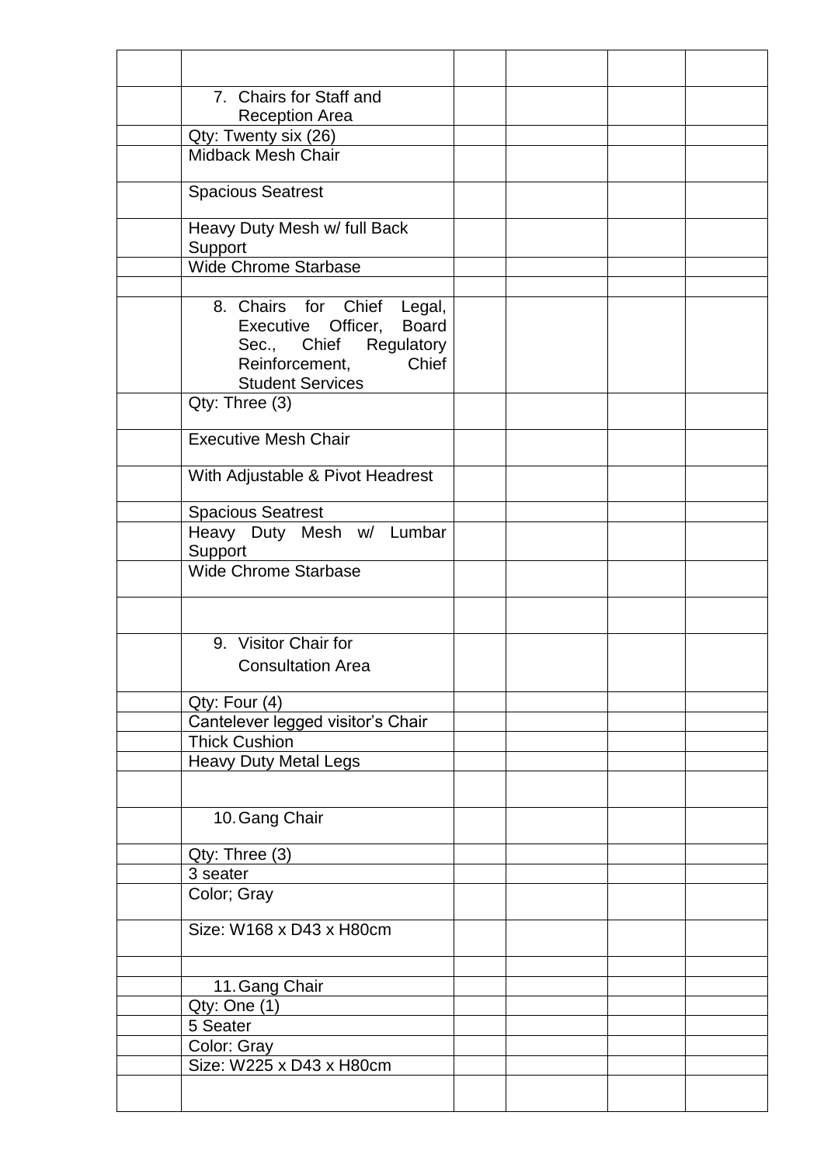| 7. Chairs for Staff and                                                                                                                          |  |  |
|--------------------------------------------------------------------------------------------------------------------------------------------------|--|--|
| <b>Reception Area</b>                                                                                                                            |  |  |
| Qty: Twenty six (26)                                                                                                                             |  |  |
| <b>Midback Mesh Chair</b>                                                                                                                        |  |  |
| <b>Spacious Seatrest</b>                                                                                                                         |  |  |
| Heavy Duty Mesh w/ full Back<br>Support                                                                                                          |  |  |
| <b>Wide Chrome Starbase</b>                                                                                                                      |  |  |
|                                                                                                                                                  |  |  |
| 8. Chairs for Chief Legal,<br><b>Board</b><br>Executive Officer,<br>Sec., Chief Regulatory<br>Chief<br>Reinforcement,<br><b>Student Services</b> |  |  |
| Qty: Three (3)                                                                                                                                   |  |  |
| <b>Executive Mesh Chair</b>                                                                                                                      |  |  |
|                                                                                                                                                  |  |  |
| With Adjustable & Pivot Headrest                                                                                                                 |  |  |
| <b>Spacious Seatrest</b>                                                                                                                         |  |  |
| Heavy Duty Mesh w/ Lumbar<br>Support                                                                                                             |  |  |
| <b>Wide Chrome Starbase</b>                                                                                                                      |  |  |
|                                                                                                                                                  |  |  |
| 9. Visitor Chair for<br><b>Consultation Area</b>                                                                                                 |  |  |
| Qty: Four (4)                                                                                                                                    |  |  |
| Cantelever legged visitor's Chair                                                                                                                |  |  |
| <b>Thick Cushion</b>                                                                                                                             |  |  |
| <b>Heavy Duty Metal Legs</b>                                                                                                                     |  |  |
|                                                                                                                                                  |  |  |
| 10. Gang Chair                                                                                                                                   |  |  |
| Qty: Three (3)                                                                                                                                   |  |  |
| 3 seater                                                                                                                                         |  |  |
| Color; Gray                                                                                                                                      |  |  |
| Size: W168 x D43 x H80cm                                                                                                                         |  |  |
|                                                                                                                                                  |  |  |
| 11. Gang Chair                                                                                                                                   |  |  |
| Qty: One (1)                                                                                                                                     |  |  |
| 5 Seater                                                                                                                                         |  |  |
| Color: Gray                                                                                                                                      |  |  |
| Size: W225 x D43 x H80cm                                                                                                                         |  |  |
|                                                                                                                                                  |  |  |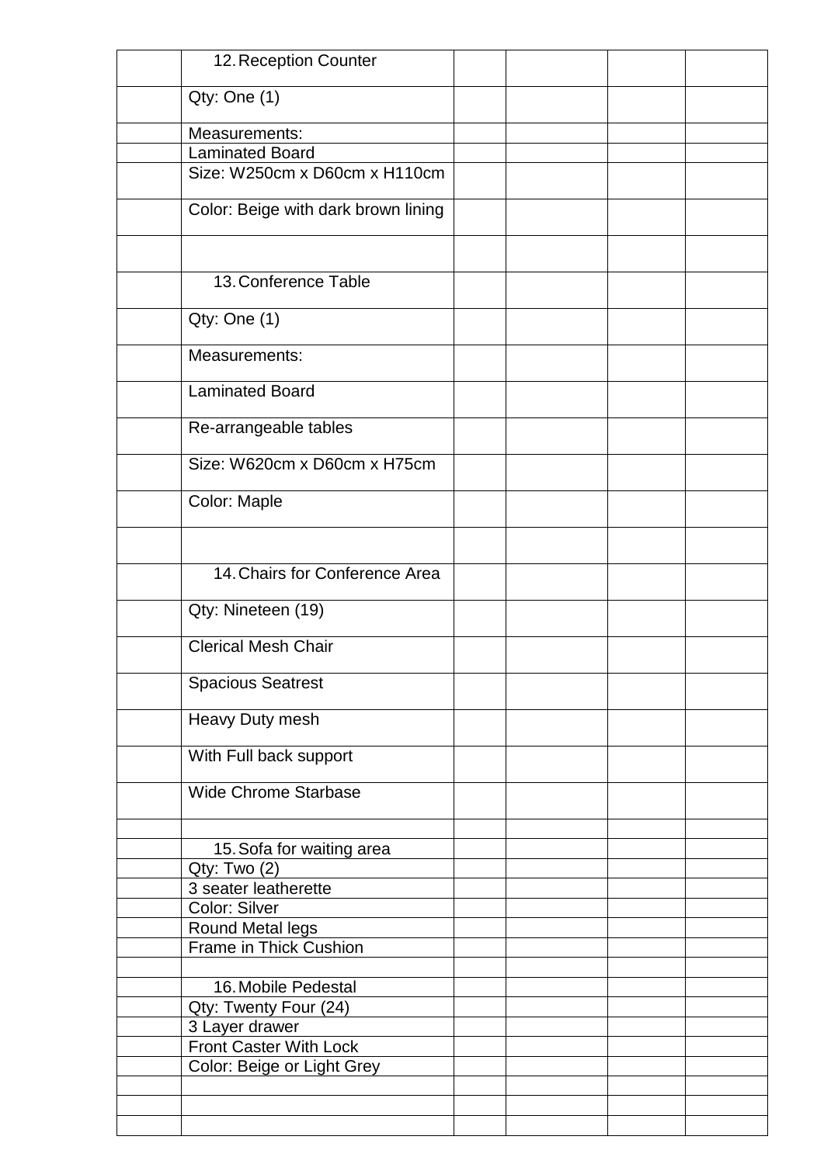| 12. Reception Counter                |  |  |
|--------------------------------------|--|--|
| Qty: One (1)                         |  |  |
| Measurements:                        |  |  |
| <b>Laminated Board</b>               |  |  |
| Size: W250cm x D60cm x H110cm        |  |  |
|                                      |  |  |
| Color: Beige with dark brown lining  |  |  |
|                                      |  |  |
| 13. Conference Table                 |  |  |
| Qty: One (1)                         |  |  |
| Measurements:                        |  |  |
| <b>Laminated Board</b>               |  |  |
| Re-arrangeable tables                |  |  |
| Size: W620cm x D60cm x H75cm         |  |  |
| Color: Maple                         |  |  |
|                                      |  |  |
| 14. Chairs for Conference Area       |  |  |
|                                      |  |  |
| Qty: Nineteen (19)                   |  |  |
| <b>Clerical Mesh Chair</b>           |  |  |
| <b>Spacious Seatrest</b>             |  |  |
| Heavy Duty mesh                      |  |  |
| With Full back support               |  |  |
| <b>Wide Chrome Starbase</b>          |  |  |
|                                      |  |  |
| 15. Sofa for waiting area            |  |  |
| Qty: Two (2)<br>3 seater leatherette |  |  |
| Color: Silver                        |  |  |
| <b>Round Metal legs</b>              |  |  |
| Frame in Thick Cushion               |  |  |
|                                      |  |  |
| 16. Mobile Pedestal                  |  |  |
| Qty: Twenty Four (24)                |  |  |
| 3 Layer drawer                       |  |  |
| Front Caster With Lock               |  |  |
| Color: Beige or Light Grey           |  |  |
|                                      |  |  |
|                                      |  |  |
|                                      |  |  |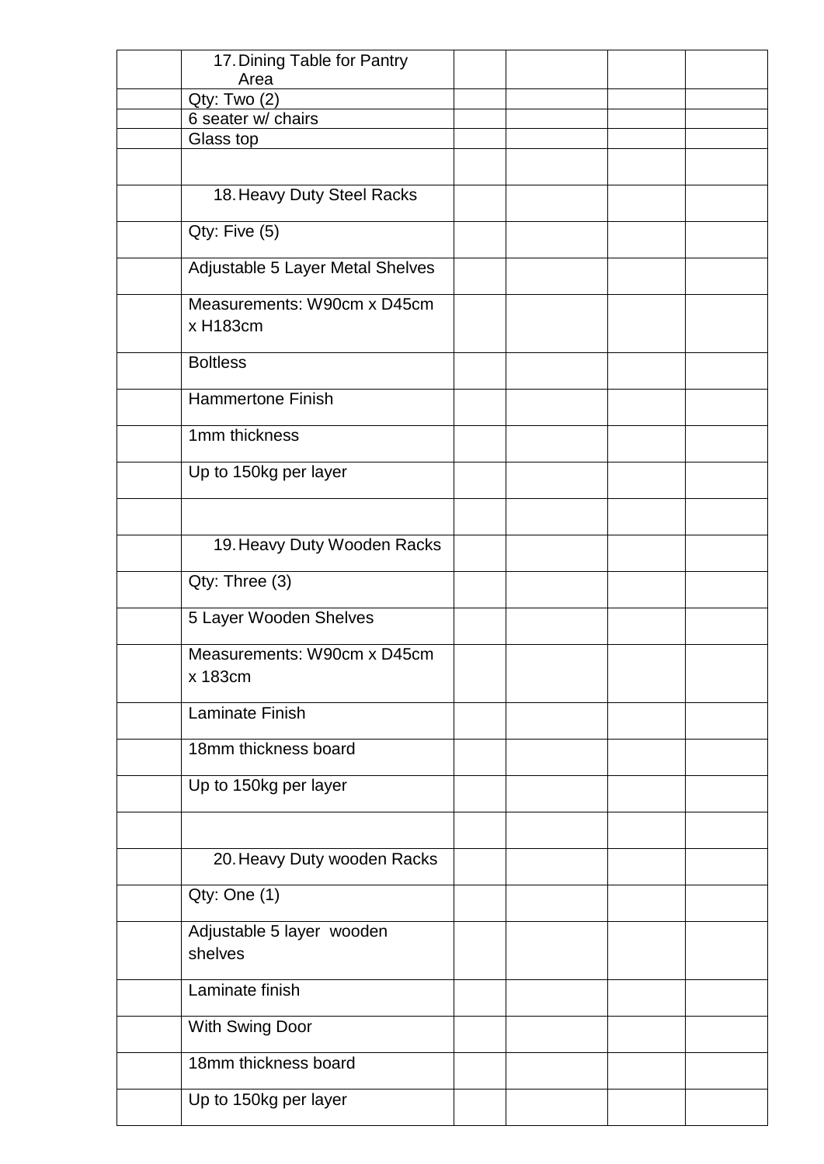| 17. Dining Table for Pantry             |  |  |
|-----------------------------------------|--|--|
| Area                                    |  |  |
| Qty: Two (2)                            |  |  |
| 6 seater w/ chairs                      |  |  |
| Glass top                               |  |  |
|                                         |  |  |
| 18. Heavy Duty Steel Racks              |  |  |
| Qty: Five (5)                           |  |  |
| Adjustable 5 Layer Metal Shelves        |  |  |
| Measurements: W90cm x D45cm<br>x H183cm |  |  |
| <b>Boltless</b>                         |  |  |
| <b>Hammertone Finish</b>                |  |  |
| 1mm thickness                           |  |  |
| Up to 150kg per layer                   |  |  |
|                                         |  |  |
| 19. Heavy Duty Wooden Racks             |  |  |
| Qty: Three (3)                          |  |  |
| 5 Layer Wooden Shelves                  |  |  |
| Measurements: W90cm x D45cm<br>x 183cm  |  |  |
| Laminate Finish                         |  |  |
| 18mm thickness board                    |  |  |
| Up to 150kg per layer                   |  |  |
|                                         |  |  |
| 20. Heavy Duty wooden Racks             |  |  |
| Qty: One (1)                            |  |  |
| Adjustable 5 layer wooden<br>shelves    |  |  |
| Laminate finish                         |  |  |
| With Swing Door                         |  |  |
| 18mm thickness board                    |  |  |
| Up to 150kg per layer                   |  |  |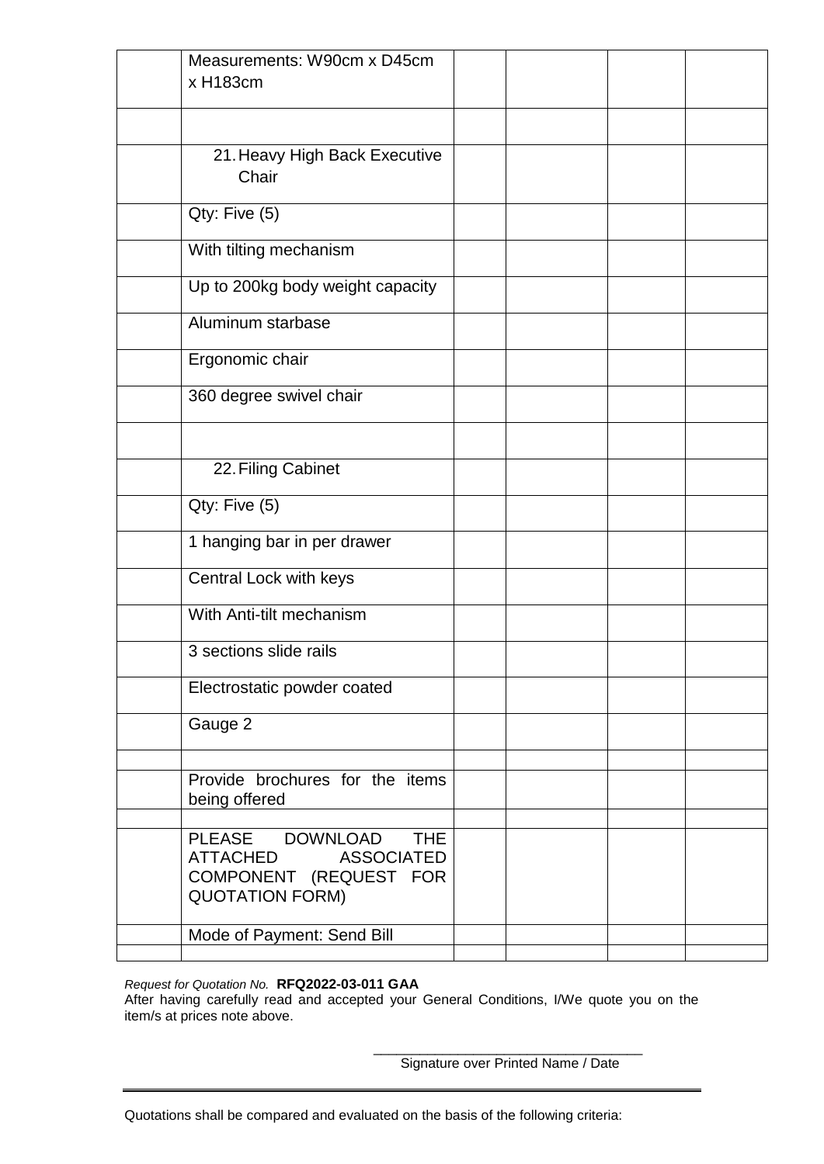| Measurements: W90cm x D45cm<br>x H183cm                                                                  |  |  |
|----------------------------------------------------------------------------------------------------------|--|--|
|                                                                                                          |  |  |
| 21. Heavy High Back Executive<br>Chair                                                                   |  |  |
| Qty: Five (5)                                                                                            |  |  |
| With tilting mechanism                                                                                   |  |  |
| Up to 200kg body weight capacity                                                                         |  |  |
| Aluminum starbase                                                                                        |  |  |
| Ergonomic chair                                                                                          |  |  |
| 360 degree swivel chair                                                                                  |  |  |
|                                                                                                          |  |  |
| 22. Filing Cabinet                                                                                       |  |  |
| Qty: Five (5)                                                                                            |  |  |
| 1 hanging bar in per drawer                                                                              |  |  |
| Central Lock with keys                                                                                   |  |  |
| With Anti-tilt mechanism                                                                                 |  |  |
| 3 sections slide rails                                                                                   |  |  |
| Electrostatic powder coated                                                                              |  |  |
| Gauge 2                                                                                                  |  |  |
| Provide brochures for the items<br>being offered                                                         |  |  |
| PLEASE DOWNLOAD THE<br>ATTACHED<br><b>ASSOCIATED</b><br>COMPONENT (REQUEST FOR<br><b>QUOTATION FORM)</b> |  |  |
| Mode of Payment: Send Bill                                                                               |  |  |
|                                                                                                          |  |  |

*Request for Quotation No.* **RFQ2022-03-011 GAA**

After having carefully read and accepted your General Conditions, I/We quote you on the item/s at prices note above.

> \_\_\_\_\_\_\_\_\_\_\_\_\_\_\_\_\_\_\_\_\_\_\_\_\_\_\_\_\_\_\_\_\_\_\_ Signature over Printed Name / Date

Quotations shall be compared and evaluated on the basis of the following criteria: